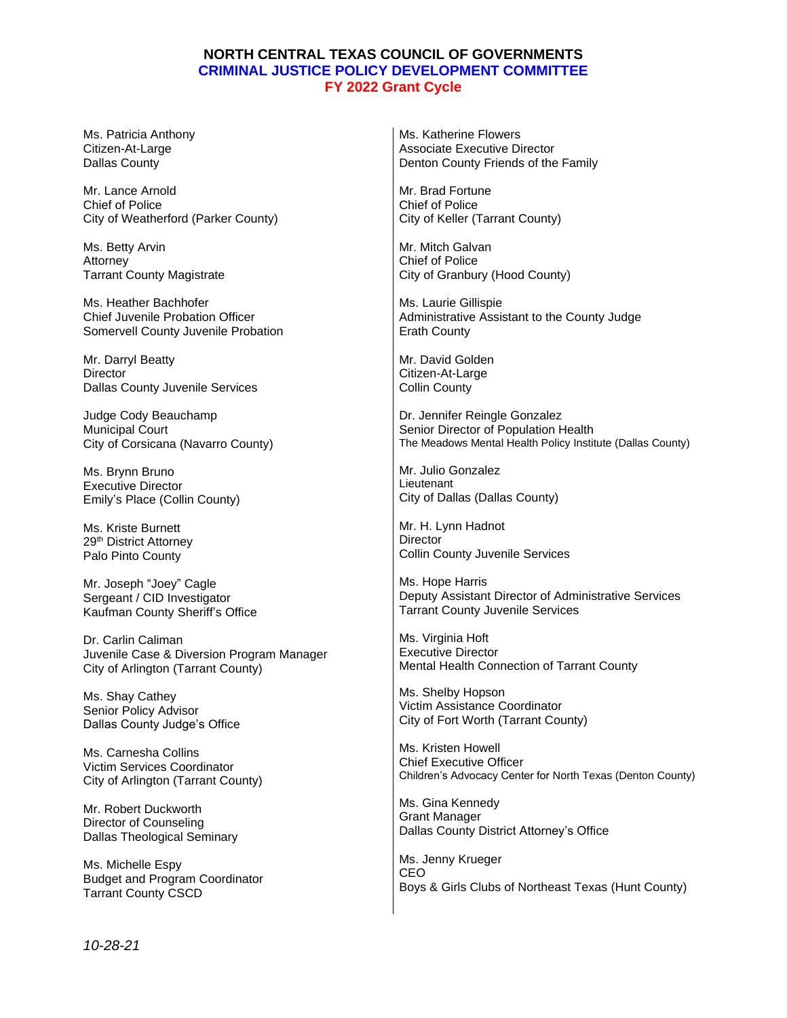## **NORTH CENTRAL TEXAS COUNCIL OF GOVERNMENTS CRIMINAL JUSTICE POLICY DEVELOPMENT COMMITTEE FY 2022 Grant Cycle**

Ms. Patricia Anthony Citizen-At-Large Dallas County Mr. Lance Arnold Chief of Police City of Weatherford (Parker County) Ms. Betty Arvin Attorney Tarrant County Magistrate Ms. Heather Bachhofer Chief Juvenile Probation Officer Somervell County Juvenile Probation Mr. Darryl Beatty **Director** Dallas County Juvenile Services Judge Cody Beauchamp Municipal Court City of Corsicana (Navarro County) Ms. Brynn Bruno Executive Director Emily's Place (Collin County) Ms. Kriste Burnett 29<sup>th</sup> District Attorney Palo Pinto County Mr. Joseph "Joey" Cagle Sergeant / CID Investigator Kaufman County Sheriff's Office Dr. Carlin Caliman Juvenile Case & Diversion Program Manager City of Arlington (Tarrant County) Ms. Shay Cathey Senior Policy Advisor Dallas County Judge's Office Ms. Carnesha Collins Victim Services Coordinator City of Arlington (Tarrant County) Mr. Robert Duckworth Director of Counseling Dallas Theological Seminary Ms. Katherine Flowers Associate Executive Director Denton County Friends of the Family Mr. Brad Fortune Chief of Police City of Keller (Tarrant County) Mr. Mitch Galvan Chief of Police City of Granbury (Hood County) Ms. Laurie Gillispie Administrative Assistant to the County Judge Erath County Mr. David Golden Citizen-At-Large Collin County Dr. Jennifer Reingle Gonzalez Senior Director of Population Health The Meadows Mental Health Policy Institute (Dallas County) Mr. Julio Gonzalez **Lieutenant** City of Dallas (Dallas County) Mr. H. Lynn Hadnot **Director** Collin County Juvenile Services Ms. Hope Harris Deputy Assistant Director of Administrative Services Tarrant County Juvenile Services Ms. Virginia Hoft Executive Director Mental Health Connection of Tarrant County Ms. Shelby Hopson Victim Assistance Coordinator City of Fort Worth (Tarrant County) Ms. Kristen Howell Chief Executive Officer Children's Advocacy Center for North Texas (Denton County) Ms. Gina Kennedy Grant Manager Dallas County District Attorney's Office

Ms. Michelle Espy Budget and Program Coordinator **Tarrant County CSCD** 

Ms. Jenny Krueger CEO Boys & Girls Clubs of Northeast Texas (Hunt County)